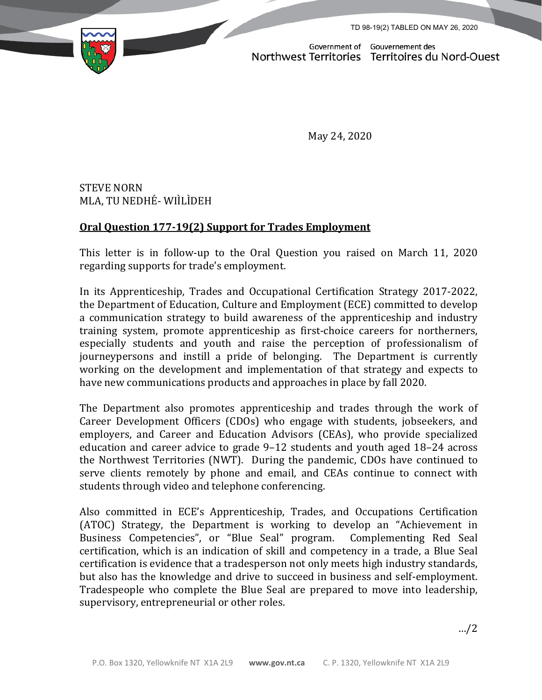TD 98-19(2) TABLED ON MAY 26, 2020



Government of Gouvernement des<br>Northwest Territories Territoires du Nord-Ouest

May 24, 2020

STEVE NORN MLA, TU NEDHÉ- WIÌLÌDEH

## **Oral Question 177-19(2) Support for Trades Employment**

This letter is in follow-up to the Oral Question you raised on March 11, 2020 regarding supports for trade's employment.

In its Apprenticeship, Trades and Occupational Certification Strategy 2017-2022, the Department of Education, Culture and Employment (ECE) committed to develop a communication strategy to build awareness of the apprenticeship and industry training system, promote apprenticeship as first-choice careers for northerners, especially students and youth and raise the perception of professionalism of journeypersons and instill a pride of belonging. The Department is currently working on the development and implementation of that strategy and expects to have new communications products and approaches in place by fall 2020.

The Department also promotes apprenticeship and trades through the work of Career Development Officers (CDOs) who engage with students, jobseekers, and employers, and Career and Education Advisors (CEAs), who provide specialized education and career advice to grade 9–12 students and youth aged 18–24 across the Northwest Territories (NWT). During the pandemic, CDOs have continued to serve clients remotely by phone and email, and CEAs continue to connect with students through video and telephone conferencing.

Also committed in ECE's Apprenticeship, Trades, and Occupations Certification (ATOC) Strategy, the Department is working to develop an "Achievement in Business Competencies", or "Blue Seal" program. Complementing Red Seal Business Competencies", or "Blue Seal" program. certification, which is an indication of skill and competency in a trade, a Blue Seal certification is evidence that a tradesperson not only meets high industry standards, but also has the knowledge and drive to succeed in business and self-employment. Tradespeople who complete the Blue Seal are prepared to move into leadership, supervisory, entrepreneurial or other roles.